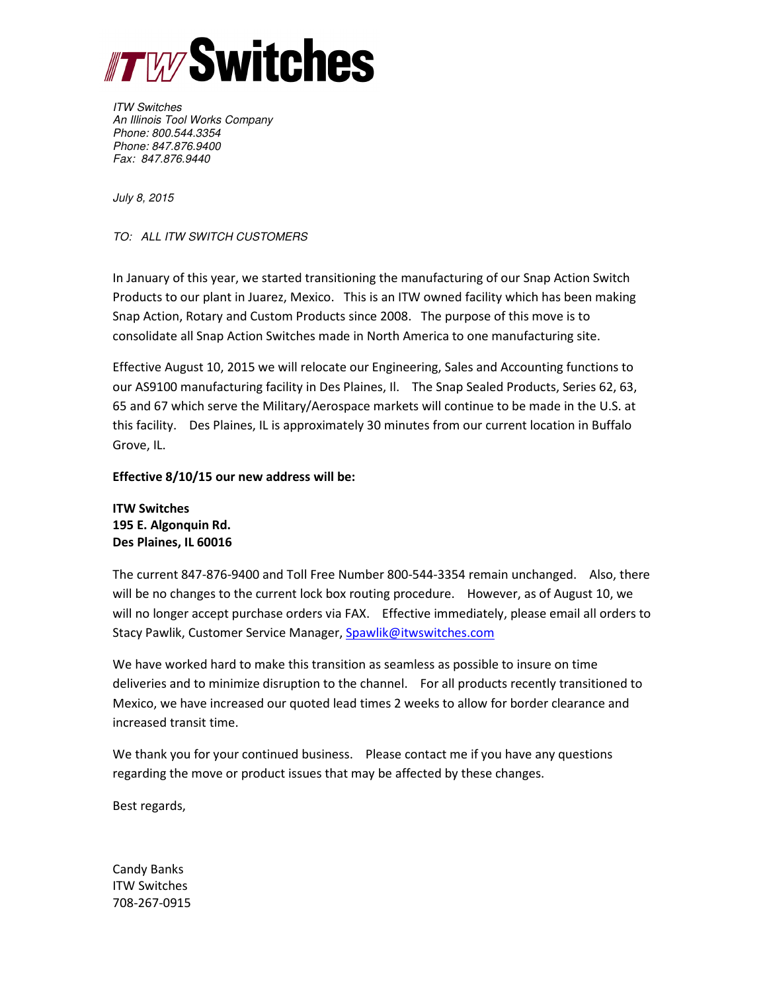

ITW Switches An Illinois Tool Works Company Phone: 800.544.3354 Phone: 847.876.9400 Fax: 847.876.9440

July 8, 2015

TO: ALL ITW SWITCH CUSTOMERS

In January of this year, we started transitioning the manufacturing of our Snap Action Switch Products to our plant in Juarez, Mexico. This is an ITW owned facility which has been making Snap Action, Rotary and Custom Products since 2008. The purpose of this move is to consolidate all Snap Action Switches made in North America to one manufacturing site.

Effective August 10, 2015 we will relocate our Engineering, Sales and Accounting functions to our AS9100 manufacturing facility in Des Plaines, Il. The Snap Sealed Products, Series 62, 63, 65 and 67 which serve the Military/Aerospace markets will continue to be made in the U.S. at this facility. Des Plaines, IL is approximately 30 minutes from our current location in Buffalo Grove, IL.

## Effective 8/10/15 our new address will be:

ITW Switches 195 E. Algonquin Rd. Des Plaines, IL 60016

The current 847-876-9400 and Toll Free Number 800-544-3354 remain unchanged. Also, there will be no changes to the current lock box routing procedure. However, as of August 10, we will no longer accept purchase orders via FAX. Effective immediately, please email all orders to Stacy Pawlik, Customer Service Manager, Spawlik@itwswitches.com

We have worked hard to make this transition as seamless as possible to insure on time deliveries and to minimize disruption to the channel. For all products recently transitioned to Mexico, we have increased our quoted lead times 2 weeks to allow for border clearance and increased transit time.

We thank you for your continued business. Please contact me if you have any questions regarding the move or product issues that may be affected by these changes.

Best regards,

Candy Banks ITW Switches 708-267-0915